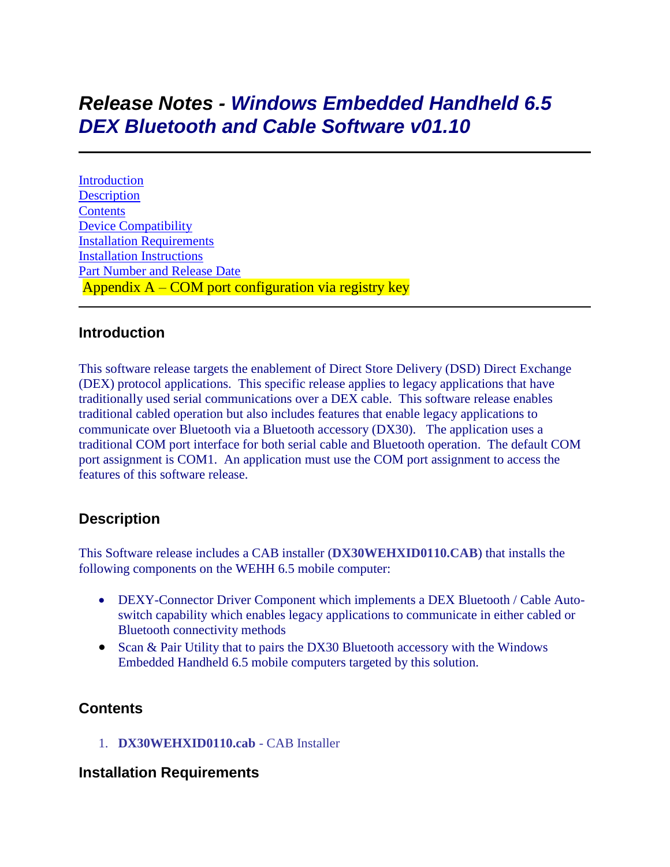# *Release Notes - Windows Embedded Handheld 6.5 DEX Bluetooth and Cable Software v01.10*

[Introduction](file:///C:/Users/vdjw83/AppData/Local/Microsoft/Windows/INetCache/Content.Outlook/Y417W105/Release%20Notes%20-%20Windows%20Embedded%20Handheld%206%205%20DEX%20Bluetooth%20and%20Cable%20Software%20v01%2010.htm%23Introduction) **[Description](file:///C:/Users/vdjw83/AppData/Local/Microsoft/Windows/INetCache/Content.Outlook/Y417W105/Release%20Notes%20-%20Windows%20Embedded%20Handheld%206%205%20DEX%20Bluetooth%20and%20Cable%20Software%20v01%2010.htm%23Description) [Contents](file:///C:/Users/vdjw83/AppData/Local/Microsoft/Windows/INetCache/Content.Outlook/Y417W105/Release%20Notes%20-%20Windows%20Embedded%20Handheld%206%205%20DEX%20Bluetooth%20and%20Cable%20Software%20v01%2010.htm%23Contents)** [Device Compatibility](file:///C:/Users/vdjw83/AppData/Local/Microsoft/Windows/INetCache/Content.Outlook/Y417W105/Release%20Notes%20-%20Windows%20Embedded%20Handheld%206%205%20DEX%20Bluetooth%20and%20Cable%20Software%20v01%2010.htm%23Compatibility_) [Installation Requirements](file:///C:/Users/vdjw83/AppData/Local/Microsoft/Windows/INetCache/Content.Outlook/Y417W105/Release%20Notes%20-%20Windows%20Embedded%20Handheld%206%205%20DEX%20Bluetooth%20and%20Cable%20Software%20v01%2010.htm%23Installation_Requirements) [Installation Instructions](file:///C:/Users/vdjw83/AppData/Local/Microsoft/Windows/INetCache/Content.Outlook/Y417W105/Release%20Notes%20-%20Windows%20Embedded%20Handheld%206%205%20DEX%20Bluetooth%20and%20Cable%20Software%20v01%2010.htm%23Installation_Instructions) [Part Number and Release Date](file:///C:/Users/vdjw83/AppData/Local/Microsoft/Windows/INetCache/Content.Outlook/Y417W105/Release%20Notes%20-%20Windows%20Embedded%20Handheld%206%205%20DEX%20Bluetooth%20and%20Cable%20Software%20v01%2010.htm%23Document_Number_/_Revision_/_Release_Date_) Appendix A – COM port configuration via registry key

### **Introduction**

This software release targets the enablement of Direct Store Delivery (DSD) Direct Exchange (DEX) protocol applications. This specific release applies to legacy applications that have traditionally used serial communications over a DEX cable. This software release enables traditional cabled operation but also includes features that enable legacy applications to communicate over Bluetooth via a Bluetooth accessory (DX30). The application uses a traditional COM port interface for both serial cable and Bluetooth operation. The default COM port assignment is COM1. An application must use the COM port assignment to access the features of this software release.

# **Description**

This Software release includes a CAB installer (**DX30WEHXID0110.CAB**) that installs the following components on the WEHH 6.5 mobile computer:

- DEXY-Connector Driver Component which implements a DEX Bluetooth / Cable Autoswitch capability which enables legacy applications to communicate in either cabled or Bluetooth connectivity methods
- Scan & Pair Utility that to pairs the DX30 Bluetooth accessory with the Windows Embedded Handheld 6.5 mobile computers targeted by this solution.

## **Contents**

1. **DX30WEHXID0110.cab** - CAB Installer

## **Installation Requirements**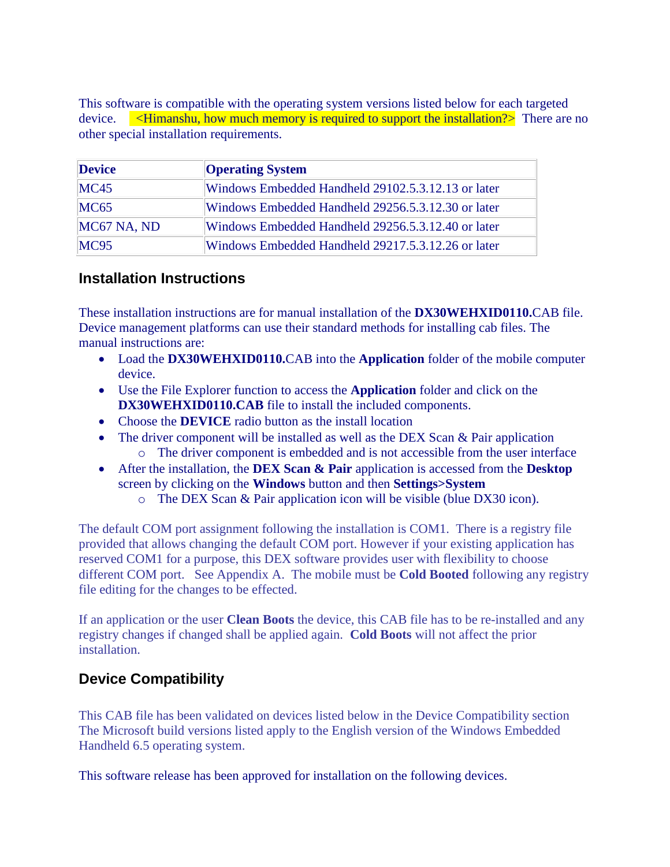This software is compatible with the operating system versions listed below for each targeted device. <**Himanshu, how much memory is required to support the installation?**> There are no other special installation requirements.

| <b>Device</b> | <b>Operating System</b>                            |
|---------------|----------------------------------------------------|
| <b>MC45</b>   | Windows Embedded Handheld 29102.5.3.12.13 or later |
| MC65          | Windows Embedded Handheld 29256.5.3.12.30 or later |
| MC67 NA, ND   | Windows Embedded Handheld 29256.5.3.12.40 or later |
| MC95          | Windows Embedded Handheld 29217.5.3.12.26 or later |

### **Installation Instructions**

These installation instructions are for manual installation of the **DX30WEHXID0110.**CAB file. Device management platforms can use their standard methods for installing cab files. The manual instructions are:

- Load the **DX30WEHXID0110.**CAB into the **Application** folder of the mobile computer device.
- Use the File Explorer function to access the **Application** folder and click on the **DX30WEHXID0110.CAB** file to install the included components.
- Choose the **DEVICE** radio button as the install location
- The driver component will be installed as well as the DEX Scan & Pair application o The driver component is embedded and is not accessible from the user interface
- After the installation, the **DEX Scan & Pair** application is accessed from the **Desktop** 
	- screen by clicking on the **Windows** button and then **Settings>System**
		- o The DEX Scan & Pair application icon will be visible (blue DX30 icon).

The default COM port assignment following the installation is COM1. There is a registry file provided that allows changing the default COM port. However if your existing application has reserved COM1 for a purpose, this DEX software provides user with flexibility to choose different COM port. See Appendix A. The mobile must be **Cold Booted** following any registry file editing for the changes to be effected.

If an application or the user **Clean Boots** the device, this CAB file has to be re-installed and any registry changes if changed shall be applied again. **Cold Boots** will not affect the prior installation.

# **Device Compatibility**

This CAB file has been validated on devices listed below in the Device Compatibility section The Microsoft build versions listed apply to the English version of the Windows Embedded Handheld 6.5 operating system.

This software release has been approved for installation on the following devices.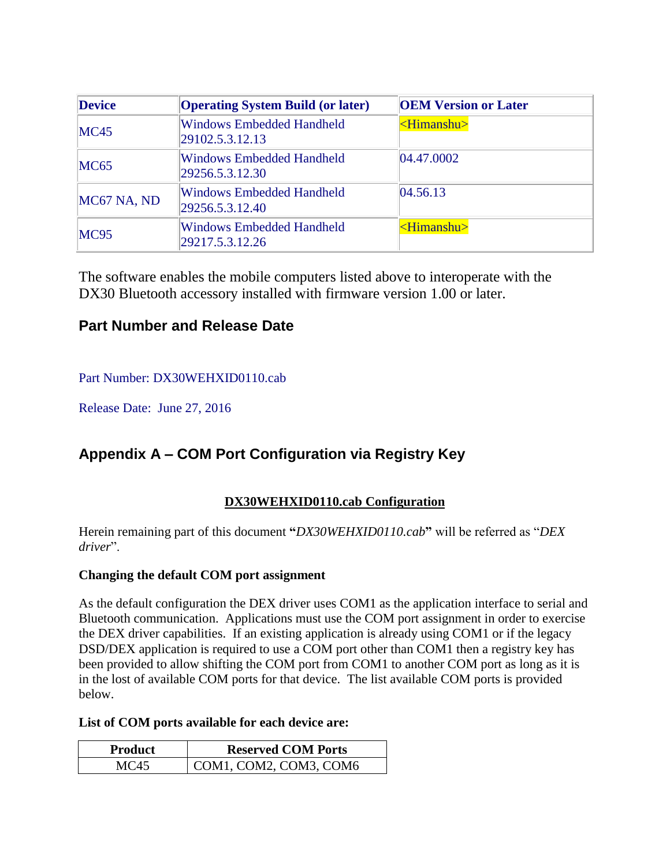| <b>Device</b> | <b>Operating System Build (or later)</b>            | <b>OEM Version or Later</b> |
|---------------|-----------------------------------------------------|-----------------------------|
| MC45          | <b>Windows Embedded Handheld</b><br>29102.5.3.12.13 | <himanshu></himanshu>       |
| MC65          | Windows Embedded Handheld<br>29256.5.3.12.30        | 04.47.0002                  |
| MC67 NA, ND   | <b>Windows Embedded Handheld</b><br>29256.5.3.12.40 | 04.56.13                    |
| MC95          | <b>Windows Embedded Handheld</b><br>29217.5.3.12.26 | $\le$ Himanshu $>$          |

The software enables the mobile computers listed above to interoperate with the DX30 Bluetooth accessory installed with firmware version 1.00 or later.

# **Part Number and Release Date**

### Part Number: DX30WEHXID0110.cab

Release Date: June 27, 2016

# **Appendix A – COM Port Configuration via Registry Key**

### **DX30WEHXID0110.cab Configuration**

Herein remaining part of this document **"***DX30WEHXID0110.cab***"** will be referred as "*DEX driver*".

### **Changing the default COM port assignment**

As the default configuration the DEX driver uses COM1 as the application interface to serial and Bluetooth communication. Applications must use the COM port assignment in order to exercise the DEX driver capabilities. If an existing application is already using COM1 or if the legacy DSD/DEX application is required to use a COM port other than COM1 then a registry key has been provided to allow shifting the COM port from COM1 to another COM port as long as it is in the lost of available COM ports for that device. The list available COM ports is provided below.

#### **List of COM ports available for each device are:**

| Product | <b>Reserved COM Ports</b> |
|---------|---------------------------|
| MC45    | COM1, COM2, COM3, COM6    |